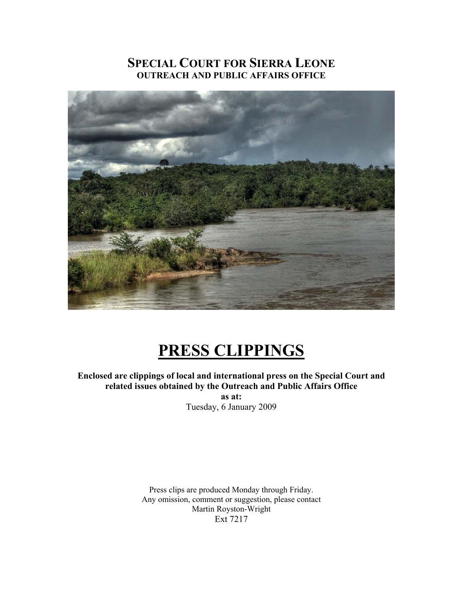# **SPECIAL COURT FOR SIERRA LEONE OUTREACH AND PUBLIC AFFAIRS OFFICE**



# **PRESS CLIPPINGS**

## **Enclosed are clippings of local and international press on the Special Court and related issues obtained by the Outreach and Public Affairs Office**

**as at:**  Tuesday, 6 January 2009

Press clips are produced Monday through Friday. Any omission, comment or suggestion, please contact Martin Royston-Wright Ext 7217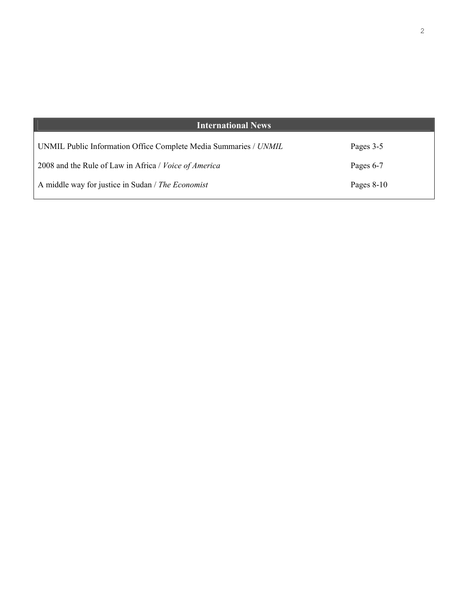| <b>International News</b>                                        |              |
|------------------------------------------------------------------|--------------|
| UNMIL Public Information Office Complete Media Summaries / UNMIL | Pages 3-5    |
| 2008 and the Rule of Law in Africa / Voice of America            | Pages 6-7    |
| A middle way for justice in Sudan / The Economist                | Pages $8-10$ |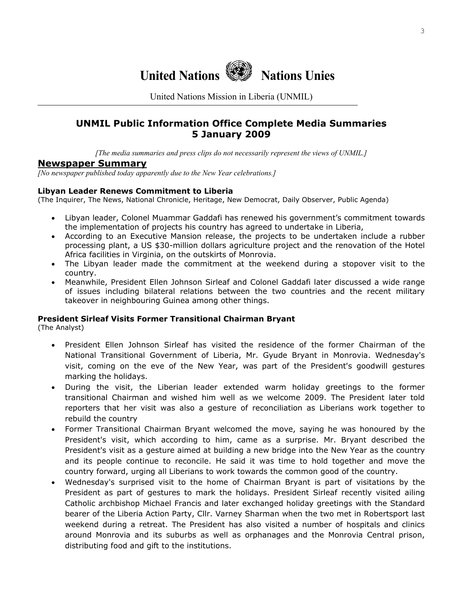

United Nations Mission in Liberia (UNMIL)

## **UNMIL Public Information Office Complete Media Summaries 5 January 2009**

*[The media summaries and press clips do not necessarily represent the views of UNMIL.]*

#### **Newspaper Summary**

*[No newspaper published today apparently due to the New Year celebrations.]*

#### **Libyan Leader Renews Commitment to Liberia**

(The Inquirer, The News, National Chronicle, Heritage, New Democrat, Daily Observer, Public Agenda)

- Libyan leader, Colonel Muammar Gaddafi has renewed his government's commitment towards the implementation of projects his country has agreed to undertake in Liberia,
- According to an Executive Mansion release, the projects to be undertaken include a rubber processing plant, a US \$30-million dollars agriculture project and the renovation of the Hotel Africa facilities in Virginia, on the outskirts of Monrovia.
- The Libyan leader made the commitment at the weekend during a stopover visit to the country.
- Meanwhile, President Ellen Johnson Sirleaf and Colonel Gaddafi later discussed a wide range of issues including bilateral relations between the two countries and the recent military takeover in neighbouring Guinea among other things.

#### **President Sirleaf Visits Former Transitional Chairman Bryant**

(The Analyst)

- President Ellen Johnson Sirleaf has visited the residence of the former Chairman of the National Transitional Government of Liberia, Mr. Gyude Bryant in Monrovia. Wednesday's visit, coming on the eve of the New Year, was part of the President's goodwill gestures marking the holidays.
- During the visit, the Liberian leader extended warm holiday greetings to the former transitional Chairman and wished him well as we welcome 2009. The President later told reporters that her visit was also a gesture of reconciliation as Liberians work together to rebuild the country
- Former Transitional Chairman Bryant welcomed the move, saying he was honoured by the President's visit, which according to him, came as a surprise. Mr. Bryant described the President's visit as a gesture aimed at building a new bridge into the New Year as the country and its people continue to reconcile. He said it was time to hold together and move the country forward, urging all Liberians to work towards the common good of the country.
- Wednesday's surprised visit to the home of Chairman Bryant is part of visitations by the President as part of gestures to mark the holidays. President Sirleaf recently visited ailing Catholic archbishop Michael Francis and later exchanged holiday greetings with the Standard bearer of the Liberia Action Party, Cllr. Varney Sharman when the two met in Robertsport last weekend during a retreat. The President has also visited a number of hospitals and clinics around Monrovia and its suburbs as well as orphanages and the Monrovia Central prison, distributing food and gift to the institutions.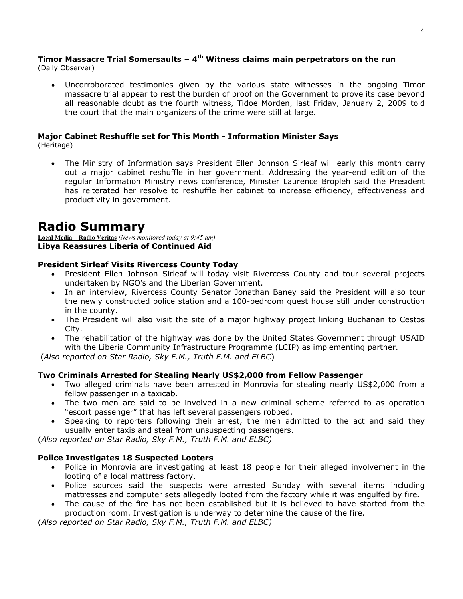#### **Timor Massacre Trial Somersaults – 4th Witness claims main perpetrators on the run**  (Daily Observer)

• Uncorroborated testimonies given by the various state witnesses in the ongoing Timor massacre trial appear to rest the burden of proof on the Government to prove its case beyond all reasonable doubt as the fourth witness, Tidoe Morden, last Friday, January 2, 2009 told the court that the main organizers of the crime were still at large.

# **Major Cabinet Reshuffle set for This Month - Information Minister Says**

(Heritage)

• The Ministry of Information says President Ellen Johnson Sirleaf will early this month carry out a major cabinet reshuffle in her government. Addressing the year-end edition of the regular Information Ministry news conference, Minister Laurence Bropleh said the President has reiterated her resolve to reshuffle her cabinet to increase efficiency, effectiveness and productivity in government.

# **Radio Summary**

**Local Media – Radio Veritas** *(News monitored today at 9:45 am)* **Libya Reassures Liberia of Continued Aid** 

#### **President Sirleaf Visits Rivercess County Today**

- President Ellen Johnson Sirleaf will today visit Rivercess County and tour several projects undertaken by NGO's and the Liberian Government.
- In an interview, Rivercess County Senator Jonathan Baney said the President will also tour the newly constructed police station and a 100-bedroom guest house still under construction in the county.
- The President will also visit the site of a major highway project linking Buchanan to Cestos City.
- The rehabilitation of the highway was done by the United States Government through USAID with the Liberia Community Infrastructure Programme (LCIP) as implementing partner.

(*Also reported on Star Radio, Sky F.M., Truth F.M. and ELBC*)

#### **Two Criminals Arrested for Stealing Nearly US\$2,000 from Fellow Passenger**

- Two alleged criminals have been arrested in Monrovia for stealing nearly US\$2,000 from a fellow passenger in a taxicab.
- The two men are said to be involved in a new criminal scheme referred to as operation "escort passenger" that has left several passengers robbed.
- Speaking to reporters following their arrest, the men admitted to the act and said they usually enter taxis and steal from unsuspecting passengers.

(*Also reported on Star Radio, Sky F.M., Truth F.M. and ELBC)*

#### **Police Investigates 18 Suspected Looters**

- Police in Monrovia are investigating at least 18 people for their alleged involvement in the looting of a local mattress factory.
- Police sources said the suspects were arrested Sunday with several items including mattresses and computer sets allegedly looted from the factory while it was engulfed by fire.
- The cause of the fire has not been established but it is believed to have started from the production room. Investigation is underway to determine the cause of the fire.

(*Also reported on Star Radio, Sky F.M., Truth F.M. and ELBC)*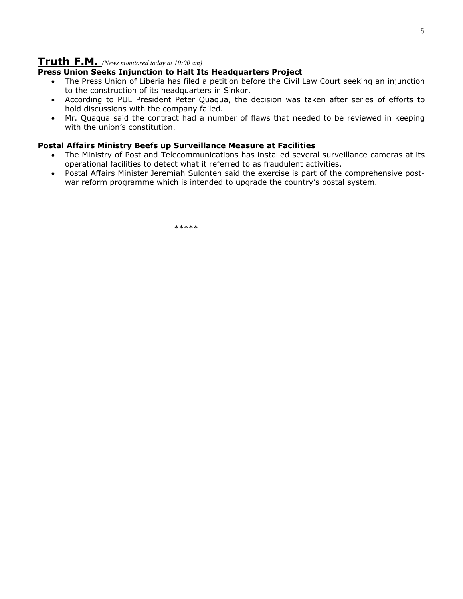### **Truth F.M.** *(News monitored today at 10:00 am)*

#### **Press Union Seeks Injunction to Halt Its Headquarters Project**

- The Press Union of Liberia has filed a petition before the Civil Law Court seeking an injunction to the construction of its headquarters in Sinkor.
- According to PUL President Peter Quaqua, the decision was taken after series of efforts to hold discussions with the company failed.
- Mr. Quaqua said the contract had a number of flaws that needed to be reviewed in keeping with the union's constitution.

#### **Postal Affairs Ministry Beefs up Surveillance Measure at Facilities**

- The Ministry of Post and Telecommunications has installed several surveillance cameras at its operational facilities to detect what it referred to as fraudulent activities.
- Postal Affairs Minister Jeremiah Sulonteh said the exercise is part of the comprehensive postwar reform programme which is intended to upgrade the country's postal system.

\*\*\*\*\*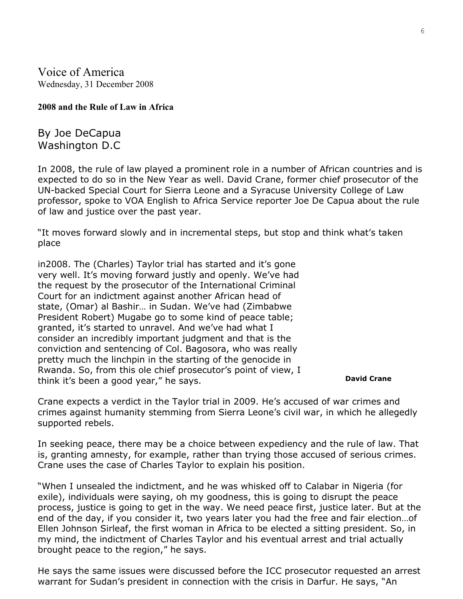Voice of America Wednesday, 31 December 2008

#### **2008 and the Rule of Law in Africa**

By Joe DeCapua Washington D.C

In 2008, the rule of law played a prominent role in a number of African countries and is expected to do so in the New Year as well. David Crane, former chief prosecutor of the UN-backed Special Court for Sierra Leone and a Syracuse University College of Law professor, spoke to VOA English to Africa Service reporter Joe De Capua about the rule of law and justice over the past year.

"It moves forward slowly and in incremental steps, but stop and think what's taken place

in2008. The (Charles) Taylor trial has started and it's gone very well. It's moving forward justly and openly. We've had the request by the prosecutor of the International Criminal Court for an indictment against another African head of state, (Omar) al Bashir… in Sudan. We've had (Zimbabwe President Robert) Mugabe go to some kind of peace table; granted, it's started to unravel. And we've had what I consider an incredibly important judgment and that is the conviction and sentencing of Col. Bagosora, who was really pretty much the linchpin in the starting of the genocide in Rwanda. So, from this ole chief prosecutor's point of view, I think it's been a good year," he says. **David Crane is a struckly contained by the same bay David Crane** 

Crane expects a verdict in the Taylor trial in 2009. He's accused of war crimes and crimes against humanity stemming from Sierra Leone's civil war, in which he allegedly supported rebels.

In seeking peace, there may be a choice between expediency and the rule of law. That is, granting amnesty, for example, rather than trying those accused of serious crimes. Crane uses the case of Charles Taylor to explain his position.

"When I unsealed the indictment, and he was whisked off to Calabar in Nigeria (for exile), individuals were saying, oh my goodness, this is going to disrupt the peace process, justice is going to get in the way. We need peace first, justice later. But at the end of the day, if you consider it, two years later you had the free and fair election…of Ellen Johnson Sirleaf, the first woman in Africa to be elected a sitting president. So, in my mind, the indictment of Charles Taylor and his eventual arrest and trial actually brought peace to the region," he says.

He says the same issues were discussed before the ICC prosecutor requested an arrest warrant for Sudan's president in connection with the crisis in Darfur. He says, "An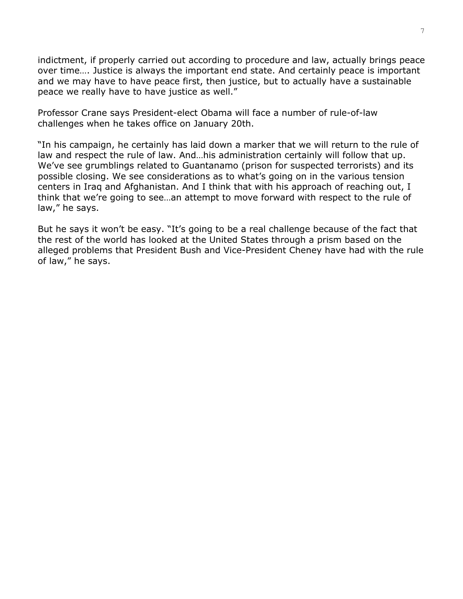indictment, if properly carried out according to procedure and law, actually brings peace over time…. Justice is always the important end state. And certainly peace is important and we may have to have peace first, then justice, but to actually have a sustainable peace we really have to have justice as well."

Professor Crane says President-elect Obama will face a number of rule-of-law challenges when he takes office on January 20th.

"In his campaign, he certainly has laid down a marker that we will return to the rule of law and respect the rule of law. And…his administration certainly will follow that up. We've see grumblings related to Guantanamo (prison for suspected terrorists) and its possible closing. We see considerations as to what's going on in the various tension centers in Iraq and Afghanistan. And I think that with his approach of reaching out, I think that we're going to see…an attempt to move forward with respect to the rule of law," he says.

But he says it won't be easy. "It's going to be a real challenge because of the fact that the rest of the world has looked at the United States through a prism based on the alleged problems that President Bush and Vice-President Cheney have had with the rule of law," he says.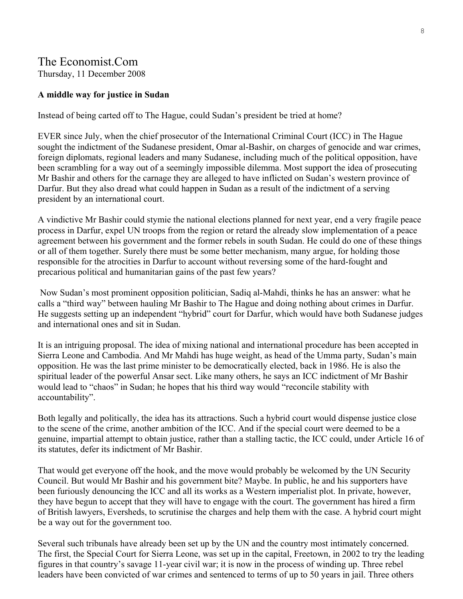# The Economist.Com

Thursday, 11 December 2008

### **A middle way for justice in Sudan**

Instead of being carted off to The Hague, could Sudan's president be tried at home?

EVER since July, when the chief prosecutor of the International Criminal Court (ICC) in The Hague sought the indictment of the Sudanese president, Omar al-Bashir, on charges of genocide and war crimes, foreign diplomats, regional leaders and many Sudanese, including much of the political opposition, have been scrambling for a way out of a seemingly impossible dilemma. Most support the idea of prosecuting Mr Bashir and others for the carnage they are alleged to have inflicted on Sudan's western province of Darfur. But they also dread what could happen in Sudan as a result of the indictment of a serving president by an international court.

A vindictive Mr Bashir could stymie the national elections planned for next year, end a very fragile peace process in Darfur, expel UN troops from the region or retard the already slow implementation of a peace agreement between his government and the former rebels in south Sudan. He could do one of these things or all of them together. Surely there must be some better mechanism, many argue, for holding those responsible for the atrocities in Darfur to account without reversing some of the hard-fought and precarious political and humanitarian gains of the past few years?

 Now Sudan's most prominent opposition politician, Sadiq al-Mahdi, thinks he has an answer: what he calls a "third way" between hauling Mr Bashir to The Hague and doing nothing about crimes in Darfur. He suggests setting up an independent "hybrid" court for Darfur, which would have both Sudanese judges and international ones and sit in Sudan.

It is an intriguing proposal. The idea of mixing national and international procedure has been accepted in Sierra Leone and Cambodia. And Mr Mahdi has huge weight, as head of the Umma party, Sudan's main opposition. He was the last prime minister to be democratically elected, back in 1986. He is also the spiritual leader of the powerful Ansar sect. Like many others, he says an ICC indictment of Mr Bashir would lead to "chaos" in Sudan; he hopes that his third way would "reconcile stability with accountability".

Both legally and politically, the idea has its attractions. Such a hybrid court would dispense justice close to the scene of the crime, another ambition of the ICC. And if the special court were deemed to be a genuine, impartial attempt to obtain justice, rather than a stalling tactic, the ICC could, under Article 16 of its statutes, defer its indictment of Mr Bashir.

That would get everyone off the hook, and the move would probably be welcomed by the UN Security Council. But would Mr Bashir and his government bite? Maybe. In public, he and his supporters have been furiously denouncing the ICC and all its works as a Western imperialist plot. In private, however, they have begun to accept that they will have to engage with the court. The government has hired a firm of British lawyers, Eversheds, to scrutinise the charges and help them with the case. A hybrid court might be a way out for the government too.

Several such tribunals have already been set up by the UN and the country most intimately concerned. The first, the Special Court for Sierra Leone, was set up in the capital, Freetown, in 2002 to try the leading figures in that country's savage 11-year civil war; it is now in the process of winding up. Three rebel leaders have been convicted of war crimes and sentenced to terms of up to 50 years in jail. Three others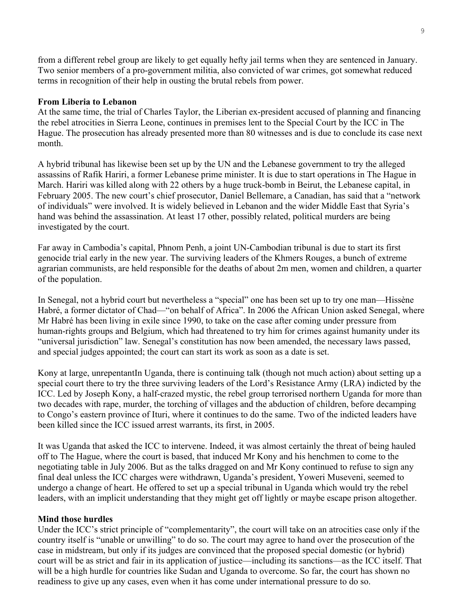from a different rebel group are likely to get equally hefty jail terms when they are sentenced in January. Two senior members of a pro-government militia, also convicted of war crimes, got somewhat reduced terms in recognition of their help in ousting the brutal rebels from power.

#### **From Liberia to Lebanon**

At the same time, the trial of Charles Taylor, the Liberian ex-president accused of planning and financing the rebel atrocities in Sierra Leone, continues in premises lent to the Special Court by the ICC in The Hague. The prosecution has already presented more than 80 witnesses and is due to conclude its case next month.

A hybrid tribunal has likewise been set up by the UN and the Lebanese government to try the alleged assassins of Rafik Hariri, a former Lebanese prime minister. It is due to start operations in The Hague in March. Hariri was killed along with 22 others by a huge truck-bomb in Beirut, the Lebanese capital, in February 2005. The new court's chief prosecutor, Daniel Bellemare, a Canadian, has said that a "network of individuals" were involved. It is widely believed in Lebanon and the wider Middle East that Syria's hand was behind the assassination. At least 17 other, possibly related, political murders are being investigated by the court.

Far away in Cambodia's capital, Phnom Penh, a joint UN-Cambodian tribunal is due to start its first genocide trial early in the new year. The surviving leaders of the Khmers Rouges, a bunch of extreme agrarian communists, are held responsible for the deaths of about 2m men, women and children, a quarter of the population.

In Senegal, not a hybrid court but nevertheless a "special" one has been set up to try one man—Hissène Habré, a former dictator of Chad—"on behalf of Africa". In 2006 the African Union asked Senegal, where Mr Habré has been living in exile since 1990, to take on the case after coming under pressure from human-rights groups and Belgium, which had threatened to try him for crimes against humanity under its "universal jurisdiction" law. Senegal's constitution has now been amended, the necessary laws passed, and special judges appointed; the court can start its work as soon as a date is set.

Kony at large, unrepentantIn Uganda, there is continuing talk (though not much action) about setting up a special court there to try the three surviving leaders of the Lord's Resistance Army (LRA) indicted by the ICC. Led by Joseph Kony, a half-crazed mystic, the rebel group terrorised northern Uganda for more than two decades with rape, murder, the torching of villages and the abduction of children, before decamping to Congo's eastern province of Ituri, where it continues to do the same. Two of the indicted leaders have been killed since the ICC issued arrest warrants, its first, in 2005.

It was Uganda that asked the ICC to intervene. Indeed, it was almost certainly the threat of being hauled off to The Hague, where the court is based, that induced Mr Kony and his henchmen to come to the negotiating table in July 2006. But as the talks dragged on and Mr Kony continued to refuse to sign any final deal unless the ICC charges were withdrawn, Uganda's president, Yoweri Museveni, seemed to undergo a change of heart. He offered to set up a special tribunal in Uganda which would try the rebel leaders, with an implicit understanding that they might get off lightly or maybe escape prison altogether.

#### **Mind those hurdles**

Under the ICC's strict principle of "complementarity", the court will take on an atrocities case only if the country itself is "unable or unwilling" to do so. The court may agree to hand over the prosecution of the case in midstream, but only if its judges are convinced that the proposed special domestic (or hybrid) court will be as strict and fair in its application of justice—including its sanctions—as the ICC itself. That will be a high hurdle for countries like Sudan and Uganda to overcome. So far, the court has shown no readiness to give up any cases, even when it has come under international pressure to do so.